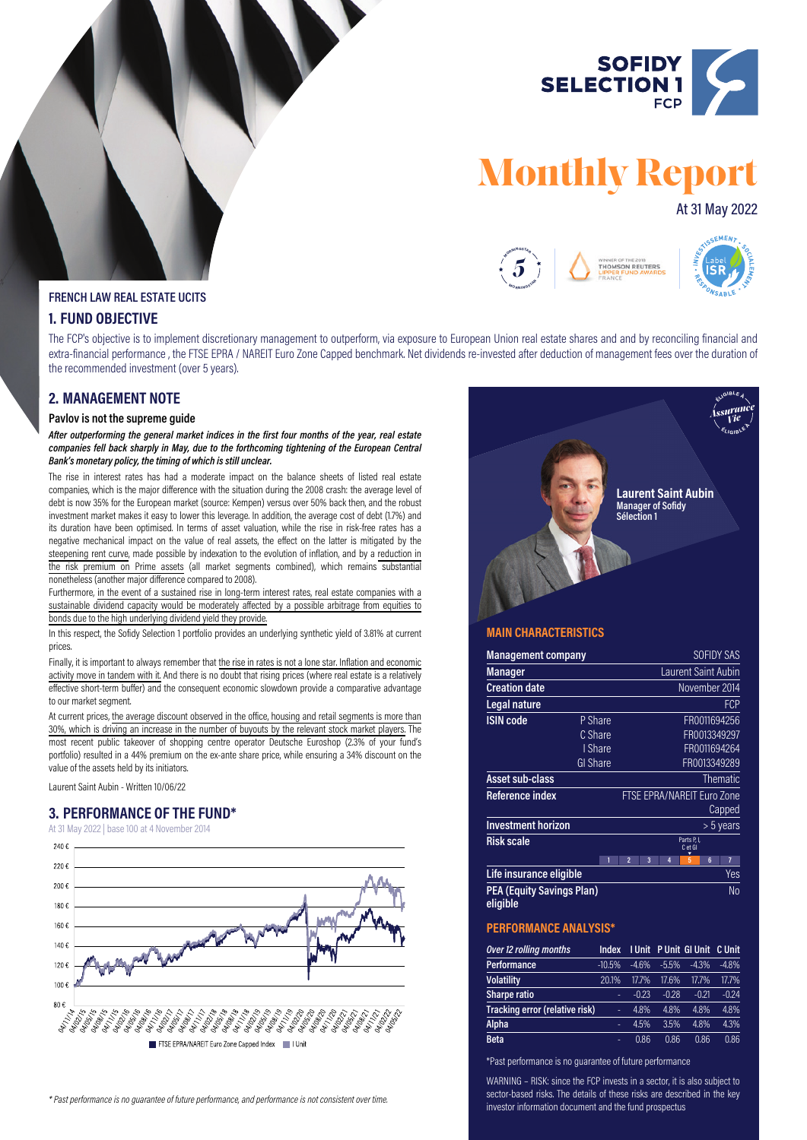

# **Monthly Report**

# At 31 May 2022



#### **FRENCH LAW REAL ESTATE UCITS**

## **1. FUND OBJECTIVE**

The FCP's objective is to implement discretionary management to outperform, via exposure to European Union real estate shares and and by reconciling financial and extra-financial performance , the FTSE EPRA / NAREIT Euro Zone Capped benchmark. Net dividends re-invested after deduction of management fees over the duration of the recommended investment (over 5 years).

## **2. MANAGEMENT NOTE**

#### **Pavlov is not the supreme guide**

*After outperforming the general market indices in the first four months of the year, real estate companies fell back sharply in May, due to the forthcoming tightening of the European Central Bank's monetary policy, the timing of which is still unclear.*

The rise in interest rates has had a moderate impact on the balance sheets of listed real estate companies, which is the major difference with the situation during the 2008 crash: the average level of debt is now 35% for the European market (source: Kempen) versus over 50% back then, and the robust investment market makes it easy to lower this leverage. In addition, the average cost of debt (1.7%) and its duration have been optimised. In terms of asset valuation, while the rise in risk-free rates has a negative mechanical impact on the value of real assets, the effect on the latter is mitigated by the steepening rent curve, made possible by indexation to the evolution of inflation, and by a reduction in the risk premium on Prime assets (all market segments combined), which remains substantial nonetheless (another major difference compared to 2008).

Furthermore, in the event of a sustained rise in long-term interest rates, real estate companies with a sustainable dividend capacity would be moderately affected by a possible arbitrage from equities to bonds due to the high underlying dividend yield they provide.

In this respect, the Sofidy Selection 1 portfolio provides an underlying synthetic yield of 3.81% at current prices.

Finally, it is important to always remember that the rise in rates is not a lone star. Inflation and economic activity move in tandem with it. And there is no doubt that rising prices (where real estate is a relatively effective short-term buffer) and the consequent economic slowdown provide a comparative advantage to our market segment.

At current prices, the average discount observed in the office, housing and retail segments is more than 30%, which is driving an increase in the number of buyouts by the relevant stock market players. The most recent public takeover of shopping centre operator Deutsche Euroshop (2.3% of your fund's portfolio) resulted in a 44% premium on the ex-ante share price, while ensuring a 34% discount on the value of the assets held by its initiators.

Laurent Saint Aubin - Written 10/06/22

# **3. PERFORMANCE OF THE FUND\***

At 31 May 2022 | base 100 at 4 November 2014





### **MAIN CHARACTERISTICS**

| <b>Management company</b>                    |                 |                |   |   |                            |   | <b>SOFIDY SAS</b> |
|----------------------------------------------|-----------------|----------------|---|---|----------------------------|---|-------------------|
| <b>Manager</b>                               |                 |                |   |   | <b>Laurent Saint Aubin</b> |   |                   |
| <b>Creation date</b>                         |                 |                |   |   | November 2014              |   |                   |
| Legal nature                                 |                 |                |   |   |                            |   | <b>FCP</b>        |
| <b>ISIN</b> code                             | P Share         |                |   |   |                            |   | FR0011694256      |
|                                              | C Share         |                |   |   |                            |   | FR0013349297      |
|                                              | I Share         |                |   |   |                            |   | FR0011694264      |
|                                              | <b>GI Share</b> |                |   |   |                            |   | FR0013349289      |
| <b>Asset sub-class</b>                       |                 |                |   |   |                            |   | <b>Thematic</b>   |
| Reference index                              |                 |                |   |   | FTSE EPRA/NAREIT Euro Zone |   |                   |
|                                              |                 |                |   |   |                            |   | Capped            |
| <b>Investment horizon</b>                    |                 |                |   |   |                            |   | $> 5$ years       |
| <b>Risk scale</b>                            |                 |                |   |   | Parts P, I,<br>C et GI     |   |                   |
|                                              |                 | $\overline{2}$ | 3 | 4 | 5                          | 6 | 7                 |
| Life insurance eligible                      |                 |                |   |   |                            |   | Yes               |
| <b>PEA (Equity Savings Plan)</b><br>eligible |                 |                |   |   |                            |   | N <sub>0</sub>    |

#### **PERFORMANCE ANALYSIS\***

| Over 12 rolling months         | Index    |         |         | I Unit P Unit GI Unit | C Unit  |
|--------------------------------|----------|---------|---------|-----------------------|---------|
| Performance                    | $-10.5%$ | $-4.6%$ | $-5.5%$ | $-4.3%$               | $-4.8%$ |
| <b>Volatility</b>              | 20.1%    | 17.7%   | 17.6%   | 17.7%                 | 17.7%   |
| Sharpe ratio                   | ۰        | $-0.23$ | $-0.28$ | $-0.21$               | $-0.24$ |
| Tracking error (relative risk) | ٠        | 4.8%    | 4.8%    | 4.8%                  | 4.8%    |
| <b>Alpha</b>                   | ۰        | 4.5%    | 3.5%    | 4.8%                  | 4.3%    |
| <b>Beta</b>                    | ۰        | 0.86    | 0.86    | 0.86                  | 0.86    |

\*Past performance is no guarantee of future performance

WARNING – RISK: since the FCP invests in a sector, it is also subject to sector-based risks. The details of these risks are described in the key investor information document and the fund prospectus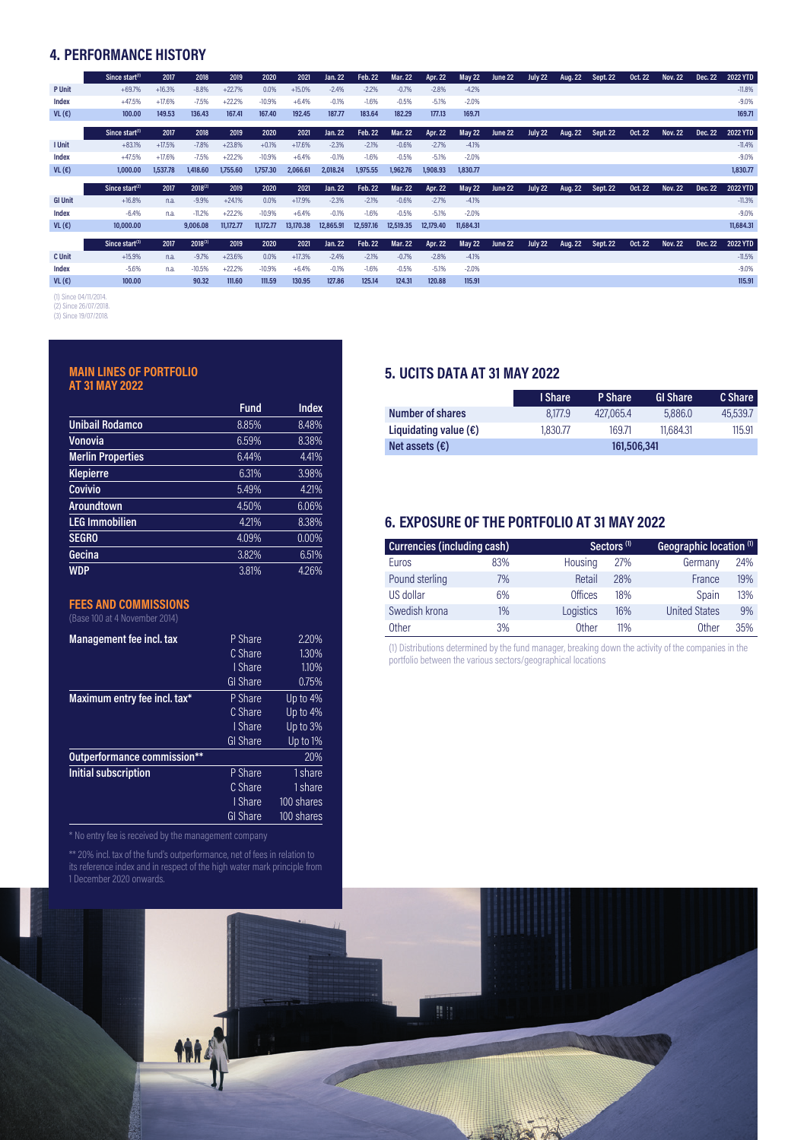# **4. PERFORMANCE HISTORY**

|                | Since start <sup>(1)</sup> | 2017     | 2018         | 2019      | 2020      | 2021      | Jan. 22   | Feb. 22   | <b>Mar. 22</b> | Apr. 22   | <b>May 22</b> | June 22 | July 22 | Aug. 22 | <b>Sept. 22</b> | <b>Oct. 22</b> | <b>Nov. 22</b> | Dec. 22 | 2022 YTD  |
|----------------|----------------------------|----------|--------------|-----------|-----------|-----------|-----------|-----------|----------------|-----------|---------------|---------|---------|---------|-----------------|----------------|----------------|---------|-----------|
| <b>P</b> Unit  | $+69.7%$                   | $+16.3%$ | $-8.8%$      | $+22.7%$  | 0.0%      | $+15.0%$  | $-2.4%$   | $-2.2%$   | $-0.7%$        | $-2.8%$   | $-4.2%$       |         |         |         |                 |                |                |         | $-11.8%$  |
| Index          | $+47.5%$                   | $+17.6%$ | $-7.5%$      | $+22.2%$  | $-10.9%$  | $+6.4%$   | $-0.1%$   | $-1.6%$   | $-0.5%$        | $-5.1%$   | $-2.0%$       |         |         |         |                 |                |                |         | $-9.0%$   |
| VL(E)          | 100.00                     | 149.53   | 136.43       | 167.41    | 167.40    | 192.45    | 187.77    | 183.64    | 182.29         | 177.13    | 169.71        |         |         |         |                 |                |                |         | 169.71    |
|                | Since start <sup>(1)</sup> | 2017     | 2018         | 2019      | 2020      | 2021      | Jan. 22   | Feb. 22   | Mar. 22        | Apr. 22   | <b>May 22</b> | June 22 | July 22 | Aug. 22 | Sept. 22        | <b>Oct. 22</b> | <b>Nov. 22</b> | Dec. 22 | 2022 YTD  |
| I Unit         | $+83.1%$                   | $+17.5%$ | $-7.8%$      | $+23.8%$  | $+0.1%$   | $+17.6%$  | $-2.3%$   | $-2.1%$   | $-0.6%$        | $-2.7%$   | $-4.1%$       |         |         |         |                 |                |                |         | $-11.4%$  |
|                |                            |          |              |           |           |           |           |           |                |           |               |         |         |         |                 |                |                |         |           |
| Index          | $+47.5%$                   | $+17.6%$ | $-7.5%$      | $+22.2%$  | $-10.9%$  | $+6.4%$   | $-0.1%$   | $-1.6%$   | $-0.5%$        | $-5.1%$   | $-2.0%$       |         |         |         |                 |                |                |         | $-9.0%$   |
| VL(E)          | 1,000,00                   | 1,537,78 | 1,418.60     | 1,755.60  | 1.757.30  | 2.066.61  | 2.018.24  | 1,975,55  | 1,962.76       | 1,908.93  | 1,830.77      |         |         |         |                 |                |                |         | 1,830.77  |
|                |                            |          |              |           |           |           |           |           |                |           |               |         |         |         |                 |                |                |         |           |
|                |                            |          |              |           |           |           |           |           |                |           |               |         |         |         |                 |                |                |         |           |
|                | Since start $(2)$          | 2017     | $2018^{(2)}$ | 2019      | 2020      | 2021      | Jan. 22   | Feb. 22   | Mar. 22        | Apr. 22   | <b>May 22</b> | June 22 | July 22 | Aug. 22 | <b>Sept. 22</b> | <b>Oct. 22</b> | <b>Nov. 22</b> | Dec. 22 | 2022 YTD  |
| <b>GI Unit</b> | $+16.8%$                   | n.a.     | $-9.9%$      | $+24.1%$  | 0.0%      | $+17.9%$  | $-2.3%$   | $-2.1%$   | $-0.6%$        | $-2.7%$   | $-4.1%$       |         |         |         |                 |                |                |         | $-11.3%$  |
| Index          | $-6.4%$                    | n.a.     | $-11.2%$     | $+22.2%$  | $-10.9%$  | $+6.4%$   | $-0.1%$   | $-1.6%$   | $-0.5%$        | $-5.1%$   | $-2.0%$       |         |         |         |                 |                |                |         | $-9.0%$   |
| VL(E)          | 10,000,00                  |          | 9,006.08     | 11,172,77 | 11.172.77 | 13,170,38 | 12.865.91 | 12.597.16 | 12,519.35      | 12,179.40 | 11.684.31     |         |         |         |                 |                |                |         | 11,684.31 |
|                |                            |          |              |           |           |           |           |           |                |           |               |         |         |         |                 |                |                |         |           |
|                | Since start <sup>(3)</sup> | 2017     | $2018^{(3)}$ | 2019      | 2020      | 2021      | Jan. 22   | Feb. 22   | <b>Mar. 22</b> | Apr. 22   | <b>May 22</b> | June 22 | July 22 | Aug. 22 | <b>Sept. 22</b> | <b>Oct. 22</b> | <b>Nov. 22</b> | Dec. 22 | 2022 YTD  |
| C Unit         | $+15.9%$                   | n.a.     | $-9.7%$      | $+23.6%$  | 0.0%      | $+17.3%$  | $-2.4%$   | $-2.1%$   | $-0.7%$        | $-2.8%$   | $-4.1%$       |         |         |         |                 |                |                |         | $-11.5%$  |
| Index          | $-5.6%$                    | n.a.     | $-10.5%$     | $+22.2%$  | $-10.9%$  | $+6.4%$   | $-0.1%$   | $-1.6%$   | $-0.5%$        | $-5.1%$   | $-2.0%$       |         |         |         |                 |                |                |         | $-9.0\%$  |

(1) Since 04/11/2014.

(2) Since26/07/2018. (3) Since19/07/2018.

### **MAIN LINES OF PORTFOLIO AT 31 MAY 2022**

|                          | <b>Fund</b> | <b>Index</b> |
|--------------------------|-------------|--------------|
| <b>Unibail Rodamco</b>   | 8.85%       | 8.48%        |
| Vonovia                  | 6.59%       | 8.38%        |
| <b>Merlin Properties</b> | 6.44%       | 4.41%        |
| <b>Klepierre</b>         | 6.31%       | 3.98%        |
| Covivio                  | 5.49%       | 4.21%        |
| Aroundtown               | 4.50%       | 6.06%        |
| <b>LEG Immobilien</b>    | 4.21%       | 8.38%        |
| <b>SEGRO</b>             | 4.09%       | 0.00%        |
| Gecina                   | 3.82%       | 6.51%        |
| <b>WDP</b>               | 3.81%       | 4.26%        |

## **FEES AND COMMISSIONS**

| <b>Management fee incl. tax</b> | P Share        | 2.20%      |
|---------------------------------|----------------|------------|
|                                 | C Share        | 1.30%      |
|                                 | I Share        | 1.10%      |
|                                 | GI Share       | 0.75%      |
| Maximum entry fee incl. tax*    | P Share        | Up to 4%   |
|                                 | C Share        | Up to 4%   |
|                                 | I Share        | Up to 3%   |
|                                 | GI Share       | Up to 1%   |
| Outperformance commission**     |                | 20%        |
| <b>Initial subscription</b>     | <b>P</b> Share | 1 share    |
|                                 | C Share        | 1 share    |
|                                 | I Share        | 100 shares |
|                                 | GI Share       | 100 shares |

\*\* 20% incl. tax of the fund's outperformance, net of fees in relation to its reference index and in respect of the high water mark principle from 1 December 2020 onwards.

## **5. UCITS DATA AT 31 MAY 2022**

|                                | I Share     | P Share   | GI Share  | C Share  |  |  |
|--------------------------------|-------------|-----------|-----------|----------|--|--|
| Number of shares               | 8.177.9     | 427,065,4 | 5,886,0   | 45,539.7 |  |  |
| Liquidating value $(\epsilon)$ | 1,830.77    | 169.71    | 11.684.31 | 115.91   |  |  |
| Net assets $(\epsilon)$        | 161,506,341 |           |           |          |  |  |

# **6. EXPOSURE OF THE PORTFOLIO AT 31 MAY 2022**

| <b>Currencies (including cash)</b> |     |                | Sectors <sup>(1)</sup> | Geographic location <sup>(1)</sup> |     |  |
|------------------------------------|-----|----------------|------------------------|------------------------------------|-----|--|
| Euros                              | 83% | Housing        | 27%                    | Germany                            | 24% |  |
| Pound sterling                     | 7%  | Retail         | 28%                    | France                             | 19% |  |
| US dollar                          | 6%  | <b>Offices</b> | 18%                    | Spain                              | 13% |  |
| Swedish krona                      | 1%  | Logistics      | 16%                    | <b>United States</b>               | 9%  |  |
| <b>Other</b>                       | 3%  | <b>Other</b>   | 11%                    | <b>Other</b>                       | 35% |  |

(1) Distributions determined by the fund manager, breaking down the activity of the companies in the portfolio between the various sectors/geographical locations

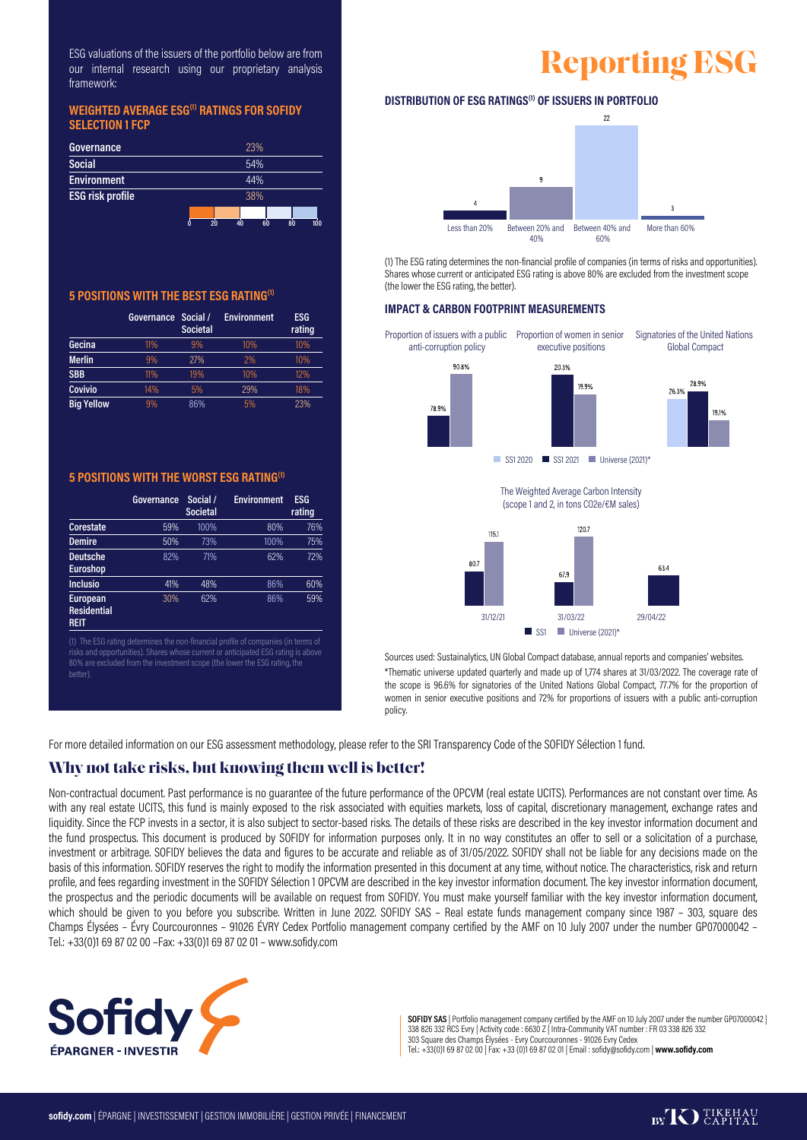ESG valuations of the issuers of the portfolio below are from our internal research using our proprietary analysis framework:

#### **WEIGHTED AVERAGE ESG(1) RATINGS FOR SOFIDY SELECTION 1 FCP**

| Governance              | 23%                         |
|-------------------------|-----------------------------|
| <b>Social</b>           | 54%                         |
| <b>Environment</b>      | 44%                         |
| <b>ESG risk profile</b> | 38%                         |
|                         |                             |
|                         | 20<br>40<br>80<br>60<br>100 |

## **5 POSITIONS WITH THE BEST ESG RATING(1)**

|                   | Governance | Social /<br><b>Societal</b> | <b>Environment</b> | <b>ESG</b><br>rating |
|-------------------|------------|-----------------------------|--------------------|----------------------|
| Gecina            | 11%        | 9%                          | 10%                | 10%                  |
| <b>Merlin</b>     | 9%         | 27%                         | 2%                 | 10%                  |
| <b>SBB</b>        | 11%        | 19%                         | 10%                | 12%                  |
| <b>Covivio</b>    | 14%        | 5%                          | 29%                | 18%                  |
| <b>Big Yellow</b> | 9%         | 86%                         | 5%                 | 23%                  |

#### **5 POSITIONS WITH THE WORST ESG RATING(1)**

|                                                      | Governance | Social /<br><b>Societal</b> | <b>Environment</b> | ESG<br>rating |
|------------------------------------------------------|------------|-----------------------------|--------------------|---------------|
| <b>Corestate</b>                                     | 59%        | 100%                        | 80%                | 76%           |
| <b>Demire</b>                                        | 50%        | 73%                         | 100%               | 75%           |
| <b>Deutsche</b><br><b>Euroshop</b>                   | 82%        | 71%                         | 62%                | 72%           |
| <b>Inclusio</b>                                      | 41%        | 48%                         | 86%                | 60%           |
| <b>European</b><br><b>Residential</b><br><b>REIT</b> | 30%        | 62%                         | 86%                | 59%           |

(1) The ESG rating determines the non-financial profile of companies (in terms of 80% are excluded from the investment scope (the lower the ESG rating, the hetter)



### **DISTRIBUTION OF ESG RATINGS(1) OF ISSUERS IN PORTFOLIO**



(1) The ESG rating determines the non-financial profile of companies (in terms of risks and opportunities). Shares whose current or anticipated ESG rating is above 80% are excluded from the investment scope (the lower the ESG rating, the better).

#### **IMPACT & CARBON FOOTPRINT MEASUREMENTS**



Sources used: Sustainalytics, UN Global Compact database, annual reports and companies' websites. \*Thematic universe updated quarterly and made up of 1,774 shares at 31/03/2022. The coverage rate of the scope is 96.6% for signatories of the United Nations Global Compact, 77.7% for the proportion of women in senior executive positions and 72% for proportions of issuers with a public anti-corruption policy.

For more detailed information on our ESG assessment methodology, please refer to the SRI Transparency Code of the SOFIDY Sélection 1 fund.

## **Why not take risks, but knowing them well is better!**

Non-contractual document. Past performance is no guarantee of the future performance of the OPCVM (real estate UCITS). Performances are not constant over time. As with any real estate UCITS, this fund is mainly exposed to the risk associated with equities markets, loss of capital, discretionary management, exchange rates and liquidity. Since the FCP invests in a sector, it is also subject to sector-based risks. The details of these risks are described in the key investor information document and the fund prospectus. This document is produced by SOFIDY for information purposes only. It in no way constitutes an offer to sell or a solicitation of a purchase, investment or arbitrage. SOFIDY believes the data and figures to be accurate and reliable as of 31/05/2022. SOFIDY shall not be liable for any decisions made on the basis of this information. SOFIDY reserves the right to modify the information presented in this document at any time, without notice. The characteristics, risk and return profile, and fees regarding investment in the SOFIDY Sélection 1 OPCVM are described in the key investor information document. The key investor information document, the prospectus and the periodic documents will be available on request from SOFIDY. You must make yourself familiar with the key investor information document, which should be given to you before you subscribe. Written in June 2022. SOFIDY SAS - Real estate funds management company since 1987 - 303, square des Champs Élysées – Évry Courcouronnes – 91026 ÉVRY Cedex Portfolio management company certified by the AMF on 10 July 2007 under the number GP07000042 – Tel.: +33(0)1 69 87 02 00 –Fax: +33(0)1 69 87 02 01– www.sofidy.com



**SOFIDY SAS** | Portfolio management company certified by the AMF on 10 July 2007 under the number GP07000042 | 338 826 332 RCS Evry | Activity code : 6630 Z | Intra-Community VAT number : FR 03 338 826 332<br>303 Square des Champs Élysées - Evry Courcouronnes - 91026 Evry Cedex<br>Tel.: +33(0)1 69 87 02 00 | Fax: +33 (0)1 69 87 02 01 | E